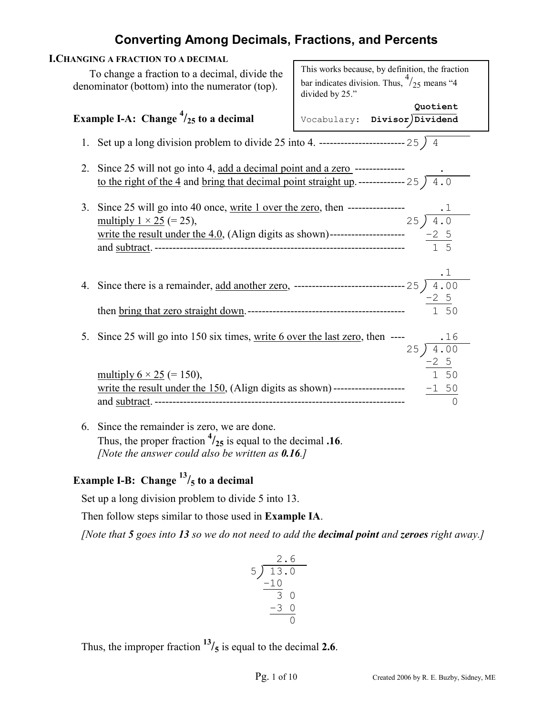| This works because, by definition, the fraction                                                                           |
|---------------------------------------------------------------------------------------------------------------------------|
| bar indicates division. Thus, $\frac{4}{25}$ means "4<br>divided by 25."                                                  |
| Quotient<br>Vocabulary: Divisor Dividend                                                                                  |
|                                                                                                                           |
|                                                                                                                           |
| Since 25 will not go into 4, add a decimal point and a zero --------------                                                |
| to the right of the 4 and bring that decimal point straight up. ------------- 25 $\sqrt{4.0}$                             |
|                                                                                                                           |
|                                                                                                                           |
|                                                                                                                           |
|                                                                                                                           |
|                                                                                                                           |
|                                                                                                                           |
|                                                                                                                           |
|                                                                                                                           |
|                                                                                                                           |
| Since 25 will go into 150 six times, <u>write 6 over the last zero</u> , then $-$ --- $\frac{.16}{25}$ $\frac{.16}{4.00}$ |
|                                                                                                                           |
| $\frac{-2}{1}$ 50                                                                                                         |
|                                                                                                                           |
|                                                                                                                           |
|                                                                                                                           |
| Thus, the proper fraction $\frac{4}{25}$ is equal to the decimal .16.                                                     |
|                                                                                                                           |

 *[Note the answer could also be written as 0.16.]*

# **Example I-B: Change <sup>13</sup>/5 to a decimal**

Set up a long division problem to divide 5 into 13.

Then follow steps similar to those used in **Example IA**.

*[Note that 5 goes into 13 so we do not need to add the decimal point and zeroes right away.]* 

$$
\begin{array}{r} 2.6 \\ 5 \overline{\smash)13.0} \\ -10 \\ \hline 3 \ 0 \\ -3 \ 0 \\ \hline 0 \end{array}
$$

Thus, the improper fraction  $13/5$  is equal to the decimal 2.6.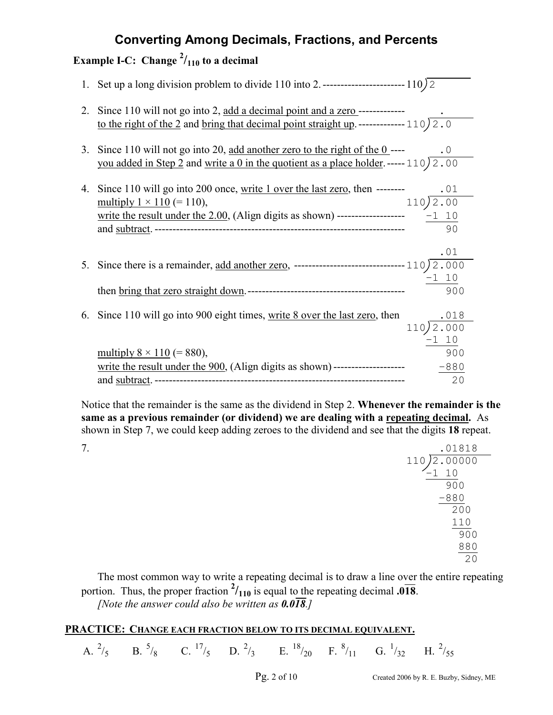# **Example I-C:** Change  $^{2}/_{110}$  to a decimal

| 2. | Since 110 will not go into 2, add a decimal point and a zero -------------                          |                     |
|----|-----------------------------------------------------------------------------------------------------|---------------------|
|    | to the right of the 2 and bring that decimal point straight up. ------------- 110) $\overline{2.0}$ |                     |
| 3. | Since 110 will not go into 20, add another zero to the right of the $0$ ----                        | $\cdot$ 0           |
|    | you added in Step 2 and write a 0 in the quotient as a place holder. ----- 110) 2.00                |                     |
| 4. | Since 110 will go into 200 once, write 1 over the last zero, then --------                          |                     |
|    | multiply $1 \times 110 (= 110)$ ,                                                                   | 110)2.00            |
|    |                                                                                                     |                     |
|    |                                                                                                     | 90                  |
|    |                                                                                                     | .01                 |
| 5. |                                                                                                     |                     |
|    |                                                                                                     |                     |
|    |                                                                                                     | 900                 |
|    | 6. Since 110 will go into 900 eight times, write 8 over the last zero, then                         |                     |
|    |                                                                                                     | $\frac{.018}{.010}$ |
|    |                                                                                                     | $-1$ 10             |
|    | multiply $8 \times 110 (= 880)$ ,                                                                   | 900                 |
|    |                                                                                                     |                     |
|    |                                                                                                     | 20                  |

Notice that the remainder is the same as the dividend in Step 2. **Whenever the remainder is the same as a previous remainder (or dividend) we are dealing with a repeating decimal.** As shown in Step 7, we could keep adding zeroes to the dividend and see that the digits **18** repeat.

| 7. | .01818                      |
|----|-----------------------------|
|    | 2.00000<br>$\bigcap$<br>110 |
|    | 1 10                        |
|    | 900                         |
|    | $-880$                      |
|    | 200                         |
|    | 110                         |
|    | 900                         |
|    | 880                         |
|    | 20                          |

 The most common way to write a repeating decimal is to draw a line over the entire repeating portion. Thus, the proper fraction  $\frac{2}{110}$  is equal to the repeating decimal **.018**. *[Note the answer could also be written as*  $0.0\overline{18}$ *.]* 

## **PRACTICE:** CHANGE EACH FRACTION BELOW TO ITS DECIMAL EQUIVALENT.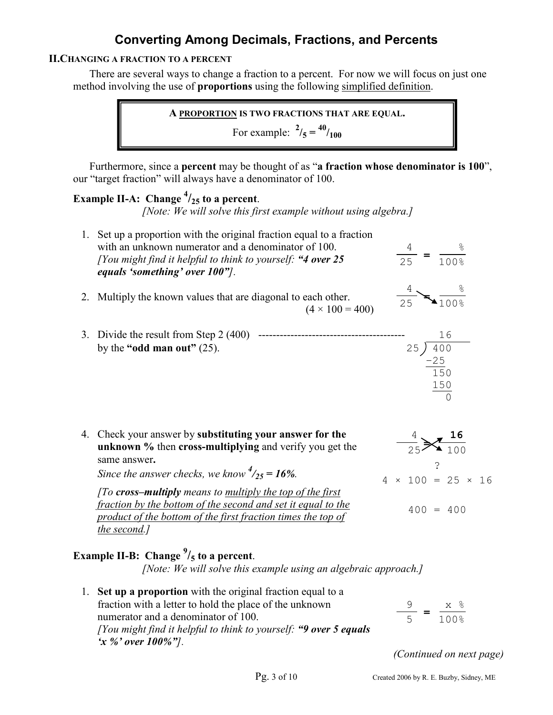### **II.CHANGING A FRACTION TO A PERCENT**

There are several ways to change a fraction to a percent. For now we will focus on just one method involving the use of **proportions** using the following simplified definition.

**A PROPORTION IS TWO FRACTIONS THAT ARE EQUAL.** 

For example:  $^{2}/_{5} = {}^{40}/_{100}$ 

Furthermore, since a **percent** may be thought of as "**a fraction whose denominator is 100**", our "target fraction" will always have a denominator of 100.

# **Example II-A: Change <sup>4</sup> /25 to a percent**.

*[Note: We will solve this first example without using algebra.]* 

| 1. Set up a proportion with the original fraction equal to a fraction<br>with an unknown numerator and a denominator of 100.<br>[You might find it helpful to think to yourself: "4 over 25<br>equals 'something' over 100".                                                                                                                                                                               | $\frac{4}{25}$ = | $rac{8}{1008}$                                                                  |  |
|------------------------------------------------------------------------------------------------------------------------------------------------------------------------------------------------------------------------------------------------------------------------------------------------------------------------------------------------------------------------------------------------------------|------------------|---------------------------------------------------------------------------------|--|
| 2. Multiply the known values that are diagonal to each other.<br>$(4 \times 100 = 400)$                                                                                                                                                                                                                                                                                                                    | 25               |                                                                                 |  |
| 3. Divide the result from Step 2 $(400)$ ----------------<br>by the "odd man out" $(25)$ .                                                                                                                                                                                                                                                                                                                 | 25)              | 16<br>400<br>$\frac{-25}{150}$<br>$\frac{150}{0}$                               |  |
| 4. Check your answer by substituting your answer for the<br>unknown % then cross-multiplying and verify you get the<br>same answer.<br>Since the answer checks, we know $\frac{4}{25}$ = 16%.<br>[To cross-multiply means to multiply the top of the first<br>fraction by the bottom of the second and set it equal to the<br>product of the bottom of the first fraction times the top of<br>the second.] |                  | $\frac{4}{25}$ $\frac{16}{100}$<br>$4 \times 100 = 25 \times 16$<br>$400 = 400$ |  |

# **Example II-B: Change <sup>9</sup> /5 to a percent**.

*[Note: We will solve this example using an algebraic approach.]* 

1. **Set up a proportion** with the original fraction equal to a fraction with a letter to hold the place of the unknown numerator and a denominator of 100. *[You might find it helpful to think to yourself: "9 over 5 equals 'x %' over 100%"].* 9 x % 5 100% **=**

*(Continued on next page)*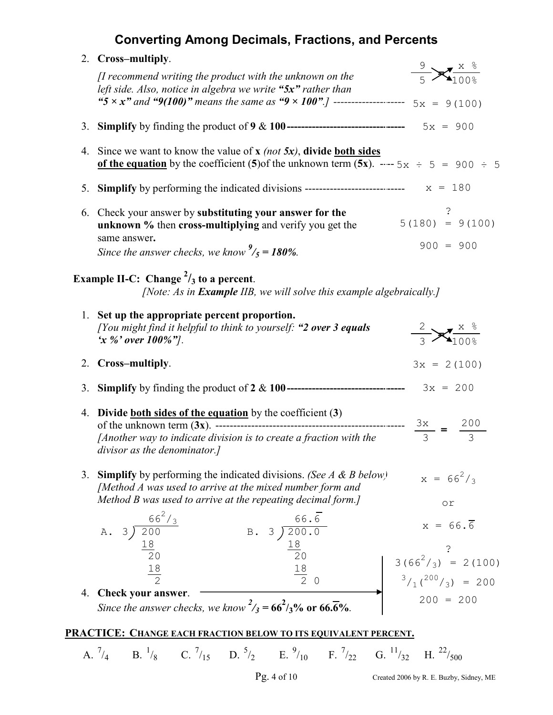|    | 2. Cross-multiply.                                                                                                                                                           |                                               |
|----|------------------------------------------------------------------------------------------------------------------------------------------------------------------------------|-----------------------------------------------|
|    | [I recommend writing the product with the unknown on the<br>left side. Also, notice in algebra we write "5x" rather than                                                     | $\frac{9}{5}$ $\frac{x}{100\%}$               |
|    | "5 x x" and "9(100)" means the same as "9 x 100".] --------------------- $5x = 9(100)$                                                                                       |                                               |
|    |                                                                                                                                                                              |                                               |
|    | 4. Since we want to know the value of $x$ (not $5x$ ), divide both sides<br>of the equation by the coefficient (5) of the unknown term (5x). $--$ 5x $\div$ 5 = 900 $\div$ 5 |                                               |
|    |                                                                                                                                                                              |                                               |
|    | 6. Check your answer by substituting your answer for the<br>unknown % then cross-multiplying and verify you get the<br>same answer.                                          | $5(180) = 9(100)$<br>$900 = 900$              |
|    | Since the answer checks, we know $\frac{9}{5}$ = 180%.                                                                                                                       |                                               |
|    | Example II-C: Change $\frac{2}{3}$ to a percent.<br>[Note: As in Example IIB, we will solve this example algebraically.]                                                     |                                               |
|    | 1. Set up the appropriate percent proportion.<br>[You might find it helpful to think to yourself: "2 over 3 equals"]<br>'x %' over $100\%$ "].                               | $\frac{2}{3}$ $\frac{x}{100\%}$               |
|    | 2. Cross-multiply.                                                                                                                                                           | $3x = 2(100)$                                 |
| 3. |                                                                                                                                                                              |                                               |
|    | 4. Divide both sides of the equation by the coefficient $(3)$<br>[Another way to indicate division is to create a fraction with the<br>divisor as the denominator.]          |                                               |
| 3. | <b>Simplify</b> by performing the indicated divisions. (See A & B below)<br>[Method A was used to arrive at the mixed number form and                                        | $x = 66^2/g$                                  |
|    | Method B was used to arrive at the repeating decimal form.]                                                                                                                  | $\circ$ $\,$ $\,$                             |
|    | A. $3) \frac{66^2/3}{20}$<br>B. $3\overline{\smash)200.0}$<br>$\underline{18}\overline{\smash)20}$<br>$\underline{18}\overline{\smash)20}$                                   | $x = 66.\overline{6}$                         |
|    |                                                                                                                                                                              |                                               |
|    | $\frac{18}{2}$                                                                                                                                                               | $3(66^2/\text{s}) = 2(100)$                   |
|    | $\frac{18}{2}$ 0                                                                                                                                                             | $3/1$ ( <sup>200</sup> / <sub>3</sub> ) = 200 |
|    | 4. Check your answer.<br>Since the answer checks, we know $\frac{2}{3} = 66^2 / \frac{1}{3}$ % or 66.6%.                                                                     | $200 = 200$                                   |
|    | <u> PRACTICE: CHANGE EACH FRACTION BELOW TO ITS EQUIVALENT PERCENT.</u>                                                                                                      |                                               |
|    | A. $^{7}/_{4}$ B. $^{1}/_{8}$ C. $^{7}/_{15}$ D. $^{5}/_{2}$ E. $^{9}/_{10}$ F. $^{7}/_{22}$ G. $^{11}/_{32}$ H. $^{22}/_{500}$                                              |                                               |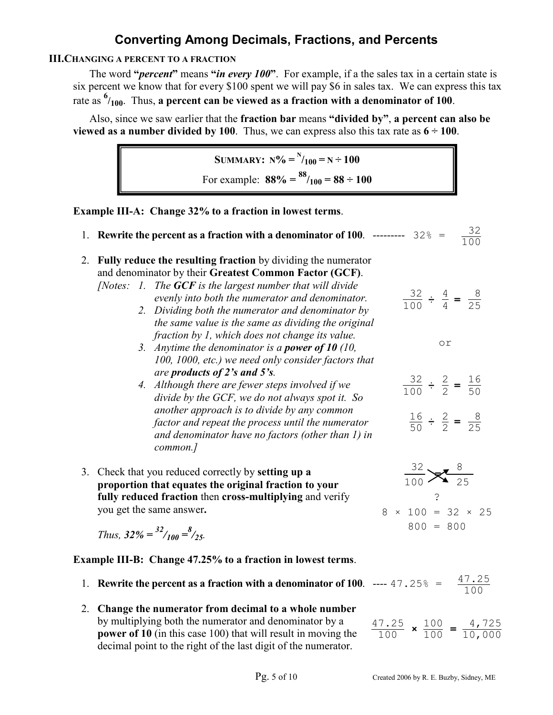### **III.CHANGING A PERCENT TO A FRACTION**

The word **"***percent***"** means **"***in every 100***"**. For example, if a the sales tax in a certain state is six percent we know that for every \$100 spent we will pay \$6 in sales tax. We can express this tax rate as **<sup>6</sup> /100**. Thus, **a percent can be viewed as a fraction with a denominator of 100**.

Also, since we saw earlier that the **fraction bar** means **"divided by"**, **a percent can also be viewed as a number divided by 100**. Thus, we can express also this tax rate as  $6 \div 100$ .

SUMMARY: 
$$
N\% = N_{100} = N \div 100
$$
  
For example:  $88\% = \frac{88}{100} = 88 \div 100$ 

**Example III-A: Change 32% to a fraction in lowest terms**.

|    | 1. Rewrite the percent as a fraction with a denominator of 100. --------- $32^* = \frac{32}{100}$                                                                                                                                                                                                                                                                                                                                                                                                                             |                                                                                                         |
|----|-------------------------------------------------------------------------------------------------------------------------------------------------------------------------------------------------------------------------------------------------------------------------------------------------------------------------------------------------------------------------------------------------------------------------------------------------------------------------------------------------------------------------------|---------------------------------------------------------------------------------------------------------|
|    | 2. Fully reduce the resulting fraction by dividing the numerator<br>and denominator by their Greatest Common Factor (GCF).<br>[Notes: $1.$ The GCF is the largest number that will divide<br>evenly into both the numerator and denominator.<br>2. Dividing both the numerator and denominator by<br>the same value is the same as dividing the original<br>fraction by 1, which does not change its value.<br>3. Anytime the denominator is a <b>power of 10</b> (10,<br>100, 1000, etc.) we need only consider factors that | $\frac{32}{100} \div \frac{4}{4} = \frac{8}{25}$<br>or                                                  |
|    | are products of 2's and 5's.<br>4. Although there are fewer steps involved if we<br>divide by the GCF, we do not always spot it. So<br>another approach is to divide by any common<br>factor and repeat the process until the numerator<br>and denominator have no factors (other than 1) in<br>common.]                                                                                                                                                                                                                      | $\frac{32}{100} \div \frac{2}{2} = \frac{16}{50}$<br>$\frac{16}{50} \div \frac{2}{2} = \frac{8}{25}$    |
| 3. | Check that you reduced correctly by setting up a<br>proportion that equates the original fraction to your<br>fully reduced fraction then cross-multiplying and verify<br>you get the same answer.<br>Thus, $32\% = \frac{32}{100} = \frac{8}{25}$ .                                                                                                                                                                                                                                                                           | $\frac{32}{100}$ $\frac{8}{25}$<br>$\ddot{\phantom{0}}$<br>$8 \times 100 = 32 \times 25$<br>$800 = 800$ |
|    | <b>Example III-B: Change 47.25% to a fraction in lowest terms.</b>                                                                                                                                                                                                                                                                                                                                                                                                                                                            |                                                                                                         |
|    | 1. Rewrite the percent as a fraction with a denominator of 100. ---- 47.25% = $\frac{47.25}{100}$                                                                                                                                                                                                                                                                                                                                                                                                                             |                                                                                                         |
|    | 2. Change the numerator from decimal to a whole number                                                                                                                                                                                                                                                                                                                                                                                                                                                                        |                                                                                                         |

by multiplying both the numerator and denominator by a **power of 10** (in this case 100) that will result in moving the decimal point to the right of the last digit of the numerator.

 $\frac{47.25}{100}$  **×**  $\frac{100}{100}$  =  $\frac{4,725}{10,000}$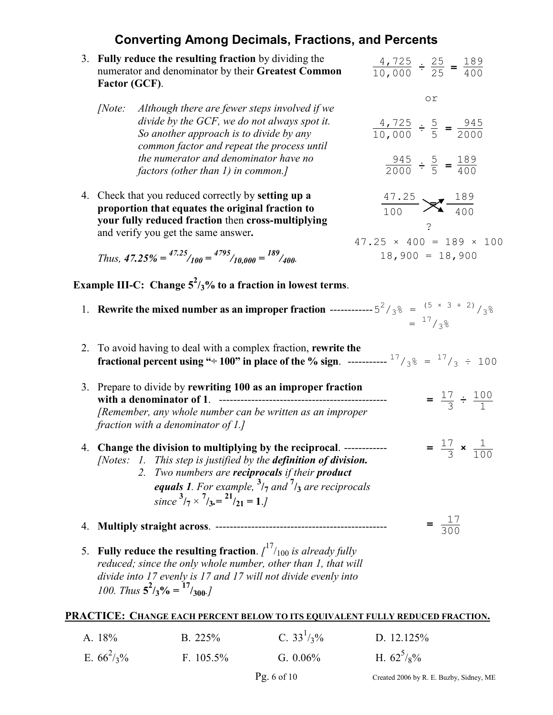|    | 3. Fully reduce the resulting fraction by dividing the<br>numerator and denominator by their Greatest Common<br>Factor (GCF).                                                                                                                                                                                                          | $\frac{4,725}{10,000} \div \frac{25}{25} = \frac{189}{400}$                                    |
|----|----------------------------------------------------------------------------------------------------------------------------------------------------------------------------------------------------------------------------------------------------------------------------------------------------------------------------------------|------------------------------------------------------------------------------------------------|
|    | Although there are fewer steps involved if we<br>[Note:<br>divide by the GCF, we do not always spot it.<br>So another approach is to divide by any<br>common factor and repeat the process until<br>the numerator and denominator have no                                                                                              | or<br>$\frac{4,725}{10,000} \div \frac{5}{5} = \frac{945}{2000}$                               |
|    | factors (other than 1) in common.]                                                                                                                                                                                                                                                                                                     | $\frac{945}{2000} \div \frac{5}{5} = \frac{189}{400}$                                          |
|    | 4. Check that you reduced correctly by <b>setting up a</b><br>proportion that equates the original fraction to<br>your fully reduced fraction then cross-multiplying<br>and verify you get the same answer.                                                                                                                            | $\frac{47.25}{100}$ $\cancel{\times}$ $\frac{189}{400}$<br>$47.25 \times 400 = 189 \times 100$ |
|    | Thus, $47.25\% = {47.25 \choose 100} = {4795 \choose 10.000} = {189 \choose 400}$                                                                                                                                                                                                                                                      | $18,900 = 18,900$                                                                              |
|    | Example III-C: Change $5^2/3\%$ to a fraction in lowest terms.                                                                                                                                                                                                                                                                         |                                                                                                |
|    | 1. Rewrite the mixed number as an improper fraction ----------- $5^2/g_s = (5 \times 3 + 2)/3$                                                                                                                                                                                                                                         | $=$ $17/38$                                                                                    |
| 2. | To avoid having to deal with a complex fraction, rewrite the<br><b>fractional percent using "</b> $\div 100$ " in place of the % sign. ----------- <sup>17</sup> / <sub>3</sub> <sup>%</sup> = $^{17}/_3$ $\div 100$                                                                                                                   |                                                                                                |
|    | 3. Prepare to divide by rewriting 100 as an improper fraction<br>[Remember, any whole number can be written as an improper<br>fraction with a denominator of $1$ .]                                                                                                                                                                    | $=\frac{17}{3} \div \frac{100}{1}$                                                             |
|    | 4. Change the division to multiplying by the reciprocal. ------------<br>[Notes: 1. This step is justified by the definition of division.<br>2. Two numbers are reciprocals if their product<br>equals 1. For example, $\frac{3}{7}$ and $\frac{7}{3}$ are reciprocals<br>since $\frac{3}{7} \times \frac{7}{3} = \frac{21}{21} = 1.7$ | $=\frac{17}{3} \times \frac{1}{100}$                                                           |
| 4. |                                                                                                                                                                                                                                                                                                                                        | $=\frac{17}{300}$                                                                              |
| 5. | Fully reduce the resulting fraction. $\int_{100}^{17}$ is already fully<br>reduced; since the only whole number, other than 1, that will<br>divide into 17 evenly is 17 and 17 will not divide evenly into<br>100. Thus $5^2/3\% = \frac{17}{300}$ .                                                                                   |                                                                                                |
|    | PRACTICE: CHANGE EACH PERCENT BELOW TO ITS EQUIVALENT FULLY REDUCED FRACTION.                                                                                                                                                                                                                                                          |                                                                                                |

| A. 18%        | B. $225%$    | C. $33^{1}/3\%$ | D. 12.125%      |
|---------------|--------------|-----------------|-----------------|
| E. $66^2$ /3% | F. $105.5\%$ | G. $0.06\%$     | H. $62^{5}/8\%$ |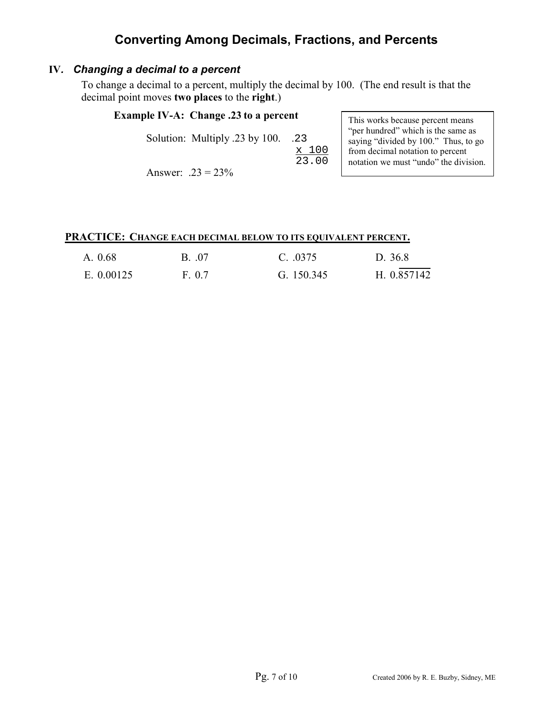## **IV***. Changing a decimal to a percent*

To change a decimal to a percent, multiply the decimal by 100. (The end result is that the decimal point moves **two places** to the **right**.)

### **Example IV-A: Change .23 to a percent**

Solution: Multiply .23 by 100. .23

<u>x 100</u> 23.00

Answer:  $.23 = 23\%$ 

This works because percent means "per hundred" which is the same as saying "divided by 100." Thus, to go from decimal notation to percent notation we must "undo" the division.

#### **PRACTICE: CHANGE EACH DECIMAL BELOW TO ITS EQUIVALENT PERCENT.**

| A. 0.68    | B. 07 | C. 0375    | D. 36.8     |
|------------|-------|------------|-------------|
| E. 0.00125 | F 07  | G. 150.345 | H. 0.857142 |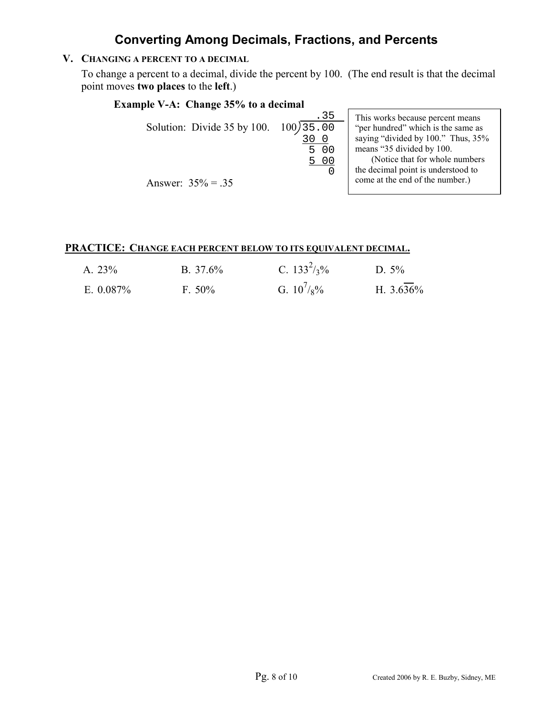## **V. CHANGING A PERCENT TO A DECIMAL**

To change a percent to a decimal, divide the percent by 100. (The end result is that the decimal point moves **two places** to the **left**.)

> 5 00  $\Omega$

## **Example V-A: Change 35% to a decimal**

5 00

.<sup>35</sup> Solution: Divide 35 by 100.  $100\sqrt{35.00}$  $\frac{300}{500}$ 

This works because percent means "per hundred" which is the same as saying "divided by 100." Thus, 35% means "35 divided by 100. (Notice that for whole numbers the decimal point is understood to come at the end of the number.)

Answer:  $35% = .35$ 

#### **PRACTICE: CHANGE EACH PERCENT BELOW TO ITS EQUIVALENT DECIMAL.**

| A. 23%    | B. $37.6\%$ | C. $133^2/\frac{1}{2}\%$ | D. $5\%$     |
|-----------|-------------|--------------------------|--------------|
| E. 0.087% | $F. 50\%$   | G. $10^{7}/8\%$          | H. $3.636\%$ |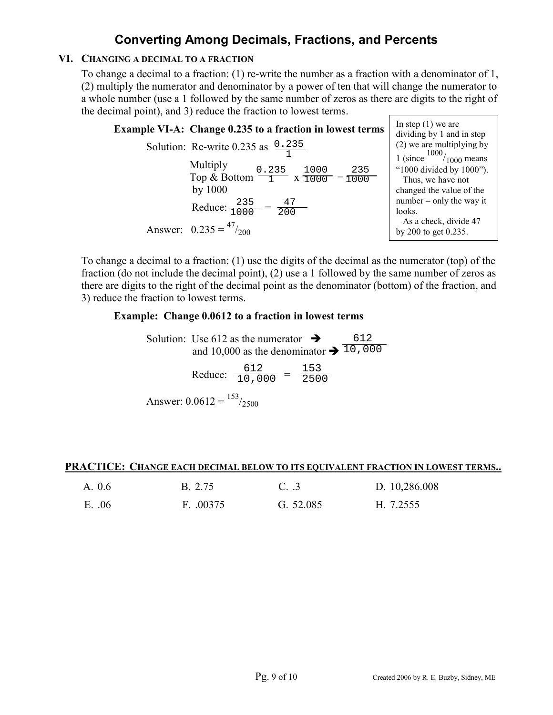### **VI. CHANGING A DECIMAL TO A FRACTION**

To change a decimal to a fraction: (1) re-write the number as a fraction with a denominator of 1, (2) multiply the numerator and denominator by a power of ten that will change the numerator to a whole number (use a 1 followed by the same number of zeros as there are digits to the right of the decimal point), and 3) reduce the fraction to lowest terms.

| <b>Example VI-A: Change 0.235 to a fraction in lowest terms</b>                                                                                                                                                              | In step $(1)$ we are<br>dividing by 1 and in step                                                                                                                                                                                       |
|------------------------------------------------------------------------------------------------------------------------------------------------------------------------------------------------------------------------------|-----------------------------------------------------------------------------------------------------------------------------------------------------------------------------------------------------------------------------------------|
| Solution: Re-write 0.235 as $0.235$<br>Multiply<br>Top & Bottom $\frac{0.235}{1}$ x $\frac{1000}{1000}$ = $\frac{235}{1000}$<br>by $1000$<br>Reduce: $\frac{235}{1000} = \frac{47}{200}$<br>Answer: $0.235 = \frac{47}{200}$ | $(2)$ we are multiplying by<br>1 (since $\frac{1000}{1000}$ means<br>"1000 divided by 1000").<br>Thus, we have not<br>changed the value of the<br>number $-$ only the way it<br>looks.<br>As a check, divide 47<br>by 200 to get 0.235. |
|                                                                                                                                                                                                                              |                                                                                                                                                                                                                                         |

To change a decimal to a fraction: (1) use the digits of the decimal as the numerator (top) of the fraction (do not include the decimal point), (2) use a 1 followed by the same number of zeros as there are digits to the right of the decimal point as the denominator (bottom) of the fraction, and 3) reduce the fraction to lowest terms.

#### **Example: Change 0.0612 to a fraction in lowest terms**

Solution: Use 612 as the numerator  $\rightarrow$ and 10,000 as the denominator  $\rightarrow \overline{10}$ , 000 612

Reduce:  $\frac{612}{10,000} = \frac{153}{250}$  $\overline{10,000}$  = 2500

Answer:  $0.0612 = {153 \atop 2500}$ 

#### PRACTICE: CHANGE EACH DECIMAL BELOW TO ITS EQUIVALENT FRACTION IN LOWEST TERMS...

| A. 0.6 | <b>B.</b> 2.75 | C.3       | D. 10,286.008 |
|--------|----------------|-----------|---------------|
| E. 06  | F. 00375       | G. 52.085 | H. 7.2555     |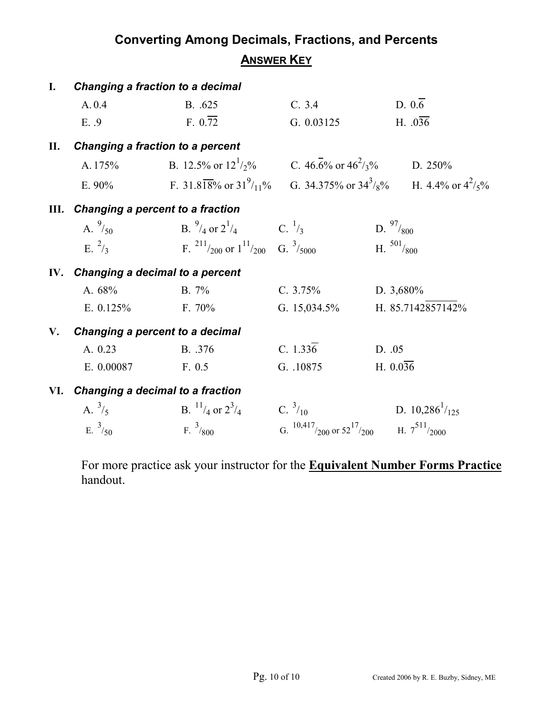| L.            | <b>Changing a fraction to a decimal</b> |                                                                   |                                                                |                                                                                |  |  |  |
|---------------|-----------------------------------------|-------------------------------------------------------------------|----------------------------------------------------------------|--------------------------------------------------------------------------------|--|--|--|
|               | A. 0.4                                  | B. .625                                                           | C. 3.4                                                         | $D. 0.\overline{6}$                                                            |  |  |  |
|               | E. .9                                   | F. 0.72                                                           | G. $0.03125$                                                   | H. $.036$                                                                      |  |  |  |
| П.            | Changing a fraction to a percent        |                                                                   |                                                                |                                                                                |  |  |  |
|               |                                         | A. 175% B. 12.5% or $12^{1}/2$ % C. 46.6% or $46^{2}/3$ % D. 250% |                                                                |                                                                                |  |  |  |
|               |                                         |                                                                   |                                                                | E. 90% F. 31.818% or $31^9/11^8$ G. 34.375% or $34^3/8^8$ H. 4.4% or $4^2/5^8$ |  |  |  |
|               | III. Changing a percent to a fraction   |                                                                   |                                                                |                                                                                |  |  |  |
|               |                                         | A. $^{9}/_{50}$ B. $^{9}/_{4}$ or $2^{1}/_{4}$ C. $^{1}/_{3}$     |                                                                | D. $\frac{97}{800}$                                                            |  |  |  |
|               | E. $^{2}/_{3}$                          | F. $^{211}/_{200}$ or $1^{11}/_{200}$ G. $^{3}/_{5000}$           |                                                                | H. $501/800$                                                                   |  |  |  |
|               | IV. Changing a decimal to a percent     |                                                                   |                                                                |                                                                                |  |  |  |
|               | A. 68%                                  | $B. 7\%$                                                          | C. $3.75%$                                                     | D. 3,680%                                                                      |  |  |  |
|               | E. $0.125%$                             | F. 70%                                                            | G. $15,034.5\%$                                                | H. 85.7142857142%                                                              |  |  |  |
| $V_{\bullet}$ | Changing a percent to a decimal         |                                                                   |                                                                |                                                                                |  |  |  |
|               | A. 0.23                                 | B. .376                                                           | C. $1.336$                                                     | D. 05                                                                          |  |  |  |
|               | E. 0.00087                              | F. 0.5                                                            | G. .10875                                                      | H. $0.036$                                                                     |  |  |  |
|               | VI. Changing a decimal to a fraction    |                                                                   |                                                                |                                                                                |  |  |  |
|               | A. $^{3}/_{5}$                          | B. $\frac{11}{4}$ or $2\frac{3}{4}$                               | C. $^{3}/_{10}$                                                | D. $10,286^{1}/_{125}$                                                         |  |  |  |
|               | E. $^{3}/_{50}$                         | F. $^{3}/_{800}$                                                  | G. $^{10,417}/_{200}$ or $52^{17}/_{200}$ H. $7^{511}/_{2000}$ |                                                                                |  |  |  |

For more practice ask your instructor for the **Equivalent Number Forms Practice** handout.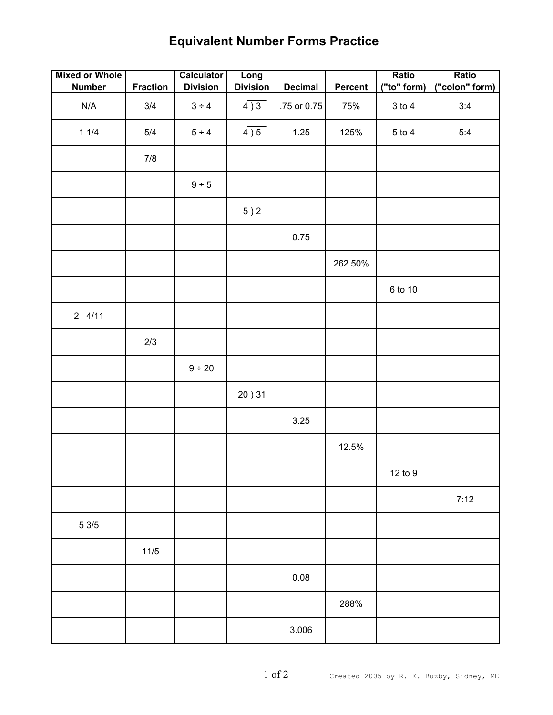# **Equivalent Number Forms Practice**

| <b>Mixed or Whole</b>   |                 | <b>Calculator</b> | Long            |                |                | Ratio       | Ratio          |
|-------------------------|-----------------|-------------------|-----------------|----------------|----------------|-------------|----------------|
| <b>Number</b>           | <b>Fraction</b> | <b>Division</b>   | <b>Division</b> | <b>Decimal</b> | <b>Percent</b> | ("to" form) | ("colon" form) |
| $\mathsf{N}/\mathsf{A}$ | 3/4             | $3 \div 4$        | 4)3             | .75 or 0.75    | 75%            | $3$ to $4$  | 3:4            |
| 11/4                    | 5/4             | 5 ÷ 4             | 4)5             | 1.25           | 125%           | $5$ to $4$  | 5:4            |
|                         | $7/8$           |                   |                 |                |                |             |                |
|                         |                 | 9 ÷ 5             |                 |                |                |             |                |
|                         |                 |                   | 5)2             |                |                |             |                |
|                         |                 |                   |                 | 0.75           |                |             |                |
|                         |                 |                   |                 |                | 262.50%        |             |                |
|                         |                 |                   |                 |                |                | 6 to 10     |                |
| 24/11                   |                 |                   |                 |                |                |             |                |
|                         | 2/3             |                   |                 |                |                |             |                |
|                         |                 | 9 ÷ 20            |                 |                |                |             |                |
|                         |                 |                   | 20)31           |                |                |             |                |
|                         |                 |                   |                 | 3.25           |                |             |                |
|                         |                 |                   |                 |                | 12.5%          |             |                |
|                         |                 |                   |                 |                |                | $12$ to $9$ |                |
|                         |                 |                   |                 |                |                |             | 7:12           |
| $5\,3/5$                |                 |                   |                 |                |                |             |                |
|                         | $11/5$          |                   |                 |                |                |             |                |
|                         |                 |                   |                 | 0.08           |                |             |                |
|                         |                 |                   |                 |                | 288%           |             |                |
|                         |                 |                   |                 | 3.006          |                |             |                |